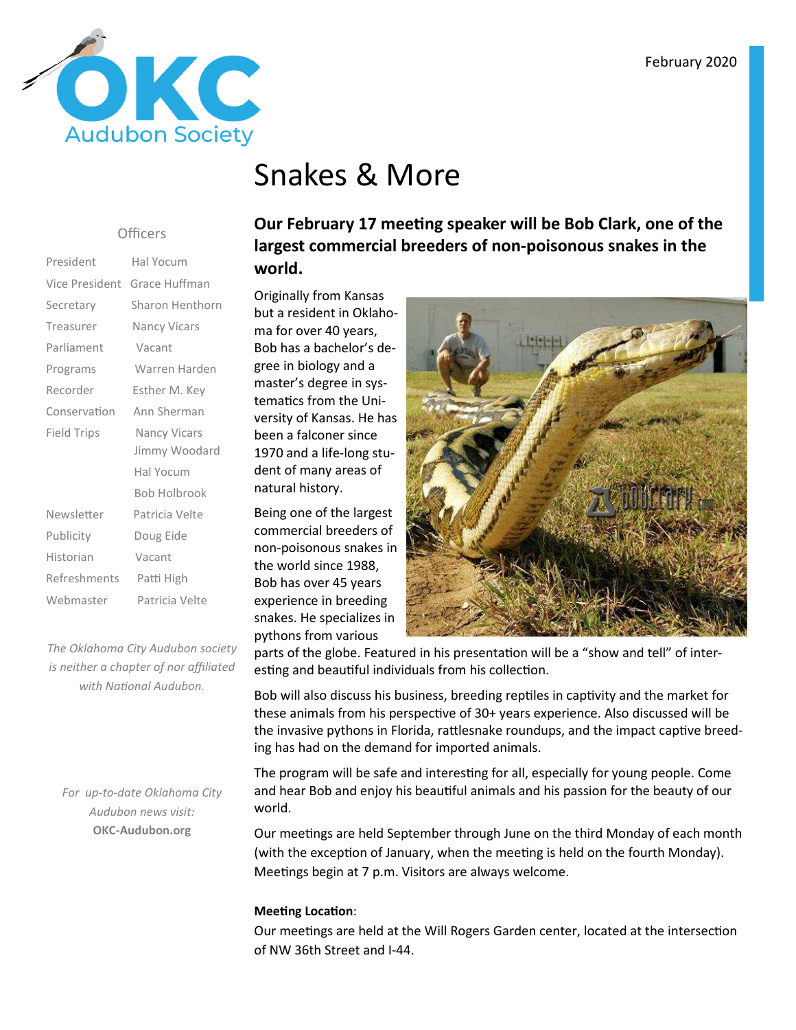

# Snakes & More

#### Officers

| President          | Hal Yocum                            |  |
|--------------------|--------------------------------------|--|
| Vice President     | Grace Huffman                        |  |
| Secretary          | Sharon Henthorn                      |  |
| Treasurer          | Nancy Vicars                         |  |
| Parliament         | Vacant                               |  |
| Programs           | Warren Harden                        |  |
| Recorder           | Esther M. Key                        |  |
| Conservation       | Ann Sherman                          |  |
| <b>Field Trips</b> | <b>Nancy Vicars</b><br>Jimmy Woodard |  |
|                    |                                      |  |
|                    | Hal Yocum                            |  |
|                    | <b>Bob Holbrook</b>                  |  |
| Newsletter         | Patricia Velte                       |  |
| Publicity          | Doug Eide                            |  |
| Historian          | Vacant                               |  |
| Refreshments       | Patti High                           |  |
| Webmaster          | Patricia Velte                       |  |

*The Oklahoma City Audubon society is neither a chapter of nor affiliated*  with National Audubon.

*For up-to-date Oklahoma City Audubon news visit:* **OKC-Audubon.org** 

**Our February 17 meeting speaker will be Bob Clark, one of the largest commercial breeders of non-poisonous snakes in the world.** 

Originally from Kansas but a resident in Oklahoma for over 40 years, Bob has a bachelor's degree in biology and a master's degree in systematics from the University of Kansas. He has been a falconer since 1970 and a life-long student of many areas of natural history.

Being one of the largest commercial breeders of non-poisonous snakes in the world since 1988, Bob has over 45 years experience in breeding snakes. He specializes in pythons from various



parts of the globe. Featured in his presentation will be a "show and tell" of interesting and beautiful individuals from his collection.

Bob will also discuss his business, breeding reptiles in captivity and the market for these animals from his perspective of 30+ years experience. Also discussed will be the invasive pythons in Florida, rattlesnake roundups, and the impact captive breeding has had on the demand for imported animals.

The program will be safe and interesting for all, especially for young people. Come and hear Bob and enjoy his beautiful animals and his passion for the beauty of our world.

Our meetings are held September through June on the third Monday of each month (with the exception of January, when the meeting is held on the fourth Monday). Meetings begin at 7 p.m. Visitors are always welcome.

### **Meeting Location:**

Our meetings are held at the Will Rogers Garden center, located at the intersection of NW 36th Street and I-44.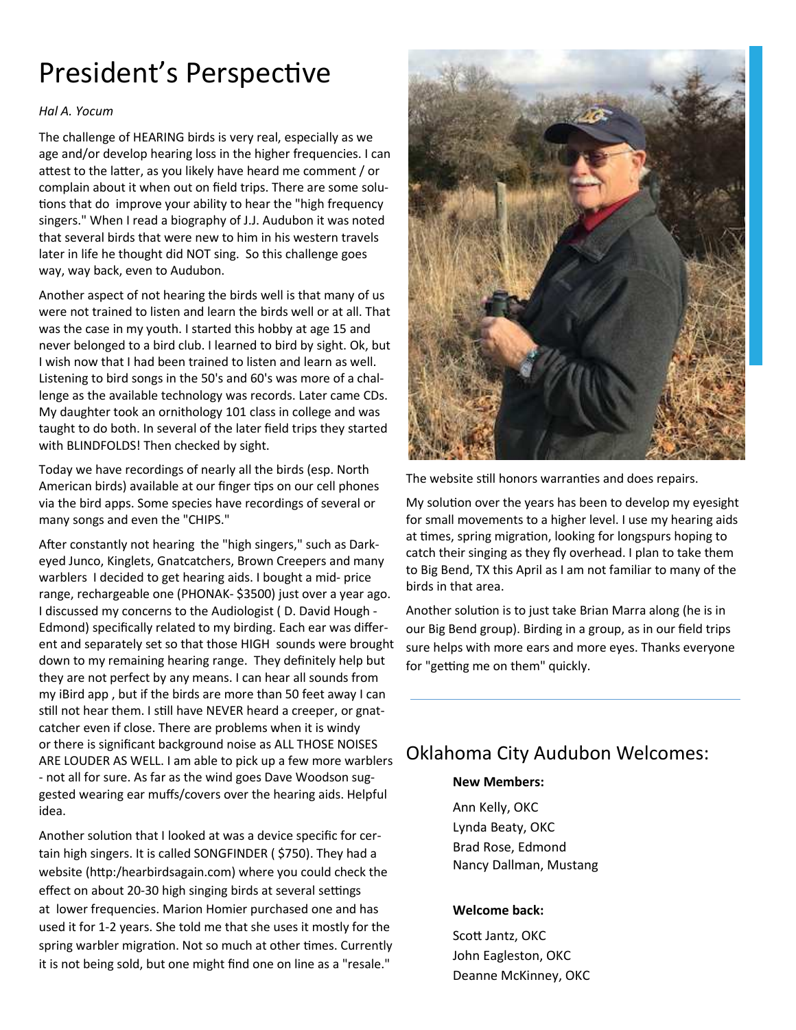# President's Perspective

### *Hal A. Yocum*

The challenge of HEARING birds is very real, especially as we age and/or develop hearing loss in the higher frequencies. I can attest to the latter, as you likely have heard me comment / or complain about it when out on field trips. There are some solu tions that do improve your ability to hear the "high frequency singers." When I read a biography of J.J. Audubon it was noted that several birds that were new to him in his western travels later in life he thought did NOT sing. So this challenge goes way, way back, even to Audubon.

Another aspect of not hearing the birds well is that many of us were not trained to listen and learn the birds well or at all. That was the case in my youth. I started this hobby at age 15 and never belonged to a bird club. I learned to bird by sight. Ok, but I wish now that I had been trained to listen and learn as well. Listening to bird songs in the 50's and 60's was more of a challenge as the available technology was records. Later came CDs. My daughter took an ornithology 101 class in college and was taught to do both. In several of the later field trips they started with BLINDFOLDS! Then checked by sight.

Today we have recordings of nearly all the birds (esp. North American birds) available at our finger tips on our cell phones via the bird apps. Some species have recordings of several or many songs and even the "CHIPS."

After constantly not hearing the "high singers," such as Darkeyed Junco, Kinglets, Gnatcatchers, Brown Creepers and many warblers I decided to get hearing aids. I bought a mid- price range, rechargeable one (PHONAK- \$3500) just over a year ago. I discussed my concerns to the Audiologist ( D. David Hough - Edmond) specifically related to my birding. Each ear was different and separately set so that those HIGH sounds were brought down to my remaining hearing range. They definitely help but they are not perfect by any means. I can hear all sounds from my iBird app , but if the birds are more than 50 feet away I can still not hear them. I still have NEVER heard a creeper, or gnatcatcher even if close. There are problems when it is windy or there is significant background noise as ALL THOSE NOISES ARE LOUDER AS WELL. I am able to pick up a few more warblers - not all for sure. As far as the wind goes Dave Woodson suggested wearing ear muffs/covers over the hearing aids. Helpful idea.

Another solution that I looked at was a device specific for certain high singers. It is called SONGFINDER ( \$750). They had a website (http:/hearbirdsagain.com) where you could check the effect on about 20-30 high singing birds at several settings at lower frequencies. Marion Homier purchased one and has used it for 1-2 years. She told me that she uses it mostly for the spring warbler migration. Not so much at other times. Currently it is not being sold, but one might find one on line as a "resale."



The website still honors warranties and does repairs.

My solution over the years has been to develop my eyesight for small movements to a higher level. I use my hearing aids at times, spring migration, looking for longspurs hoping to catch their singing as they fly overhead. I plan to take them to Big Bend, TX this April as I am not familiar to many of the birds in that area.

Another solution is to just take Brian Marra along (he is in our Big Bend group). Birding in a group, as in our field trips sure helps with more ears and more eyes. Thanks everyone for "getting me on them" quickly.

### Oklahoma City Audubon Welcomes:

### **New Members:**

 Ann Kelly, OKC Lynda Beaty, OKC Brad Rose, Edmond Nancy Dallman, Mustang

### **Welcome back:**

Scott Jantz, OKC John Eagleston, OKC Deanne McKinney, OKC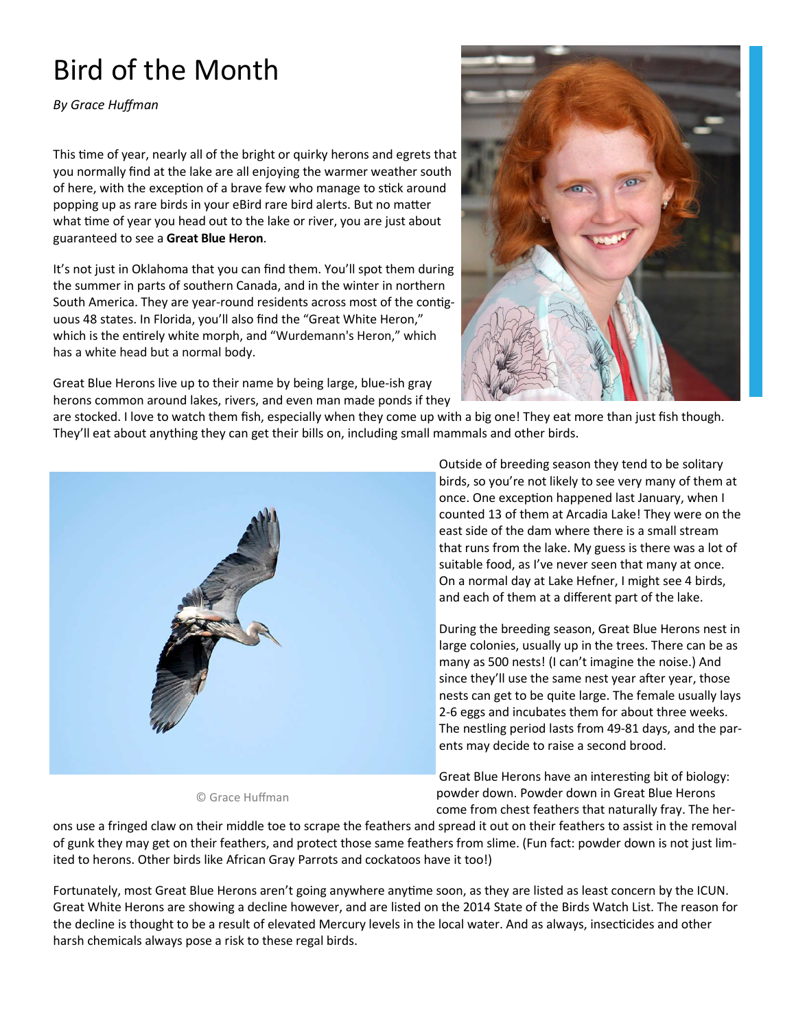# Bird of the Month

*By Grace Huffman* 

This time of year, nearly all of the bright or quirky herons and egrets that you normally find at the lake are all enjoying the warmer weather south of here, with the exception of a brave few who manage to stick around popping up as rare birds in your eBird rare bird alerts. But no matter what time of year you head out to the lake or river, you are just about guaranteed to see a **Great Blue Heron**.

It's not just in Oklahoma that you can find them. You'll spot them during the summer in parts of southern Canada, and in the winter in northern South America. They are year-round residents across most of the contiguous 48 states. In Florida, you'll also find the "Great White Heron," which is the entirely white morph, and "Wurdemann's Heron," which has a white head but a normal body.

Great Blue Herons live up to their name by being large, blue-ish gray herons common around lakes, rivers, and even man made ponds if they



are stocked. I love to watch them fish, especially when they come up with a big one! They eat more than just fish though. They'll eat about anything they can get their bills on, including small mammals and other birds.



© Grace Huffman

Outside of breeding season they tend to be solitary birds, so you're not likely to see very many of them at once. One exception happened last January, when I counted 13 of them at Arcadia Lake! They were on the east side of the dam where there is a small stream that runs from the lake. My guess is there was a lot of suitable food, as I've never seen that many at once. On a normal day at Lake Hefner, I might see 4 birds, and each of them at a different part of the lake.

During the breeding season, Great Blue Herons nest in large colonies, usually up in the trees. There can be as many as 500 nests! (I can't imagine the noise.) And since they'll use the same nest year after year, those nests can get to be quite large. The female usually lays 2-6 eggs and incubates them for about three weeks. The nestling period lasts from 49-81 days, and the parents may decide to raise a second brood.

Great Blue Herons have an interesting bit of biology: powder down. Powder down in Great Blue Herons come from chest feathers that naturally fray. The her-

ons use a fringed claw on their middle toe to scrape the feathers and spread it out on their feathers to assist in the removal of gunk they may get on their feathers, and protect those same feathers from slime. (Fun fact: powder down is not just limited to herons. Other birds like African Gray Parrots and cockatoos have it too!)

Fortunately, most Great Blue Herons aren't going anywhere anytime soon, as they are listed as least concern by the ICUN. Great White Herons are showing a decline however, and are listed on the 2014 State of the Birds Watch List. The reason for the decline is thought to be a result of elevated Mercury levels in the local water. And as always, insecticides and other harsh chemicals always pose a risk to these regal birds.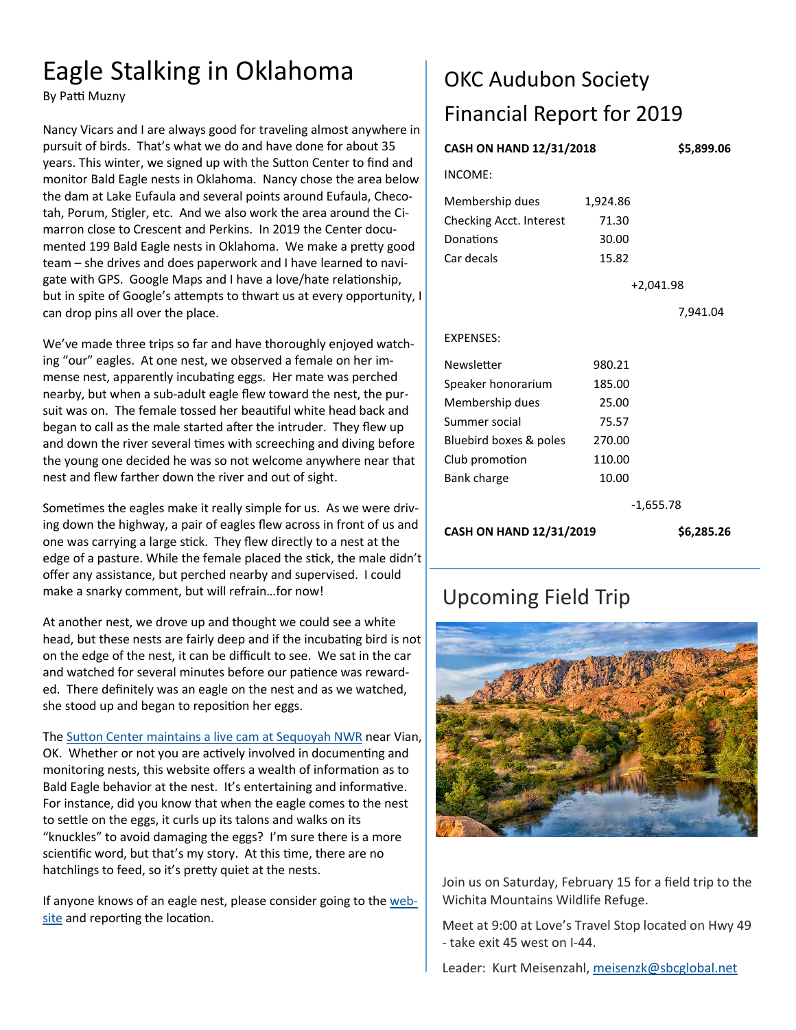## Eagle Stalking in Oklahoma

By Patti Muzny

Nancy Vicars and I are always good for traveling almost anywhere in pursuit of birds. That's what we do and have done for about 35 years. This winter, we signed up with the Sutton Center to find and monitor Bald Eagle nests in Oklahoma. Nancy chose the area below the dam at Lake Eufaula and several points around Eufaula, Checotah, Porum, Stigler, etc. And we also work the area around the Cimarron close to Crescent and Perkins. In 2019 the Center documented 199 Bald Eagle nests in Oklahoma. We make a pretty good team – she drives and does paperwork and I have learned to navigate with GPS. Google Maps and I have a love/hate relationship, but in spite of Google's attempts to thwart us at every opportunity, I can drop pins all over the place.

We've made three trips so far and have thoroughly enjoyed watching "our" eagles. At one nest, we observed a female on her immense nest, apparently incubating eggs. Her mate was perched nearby, but when a sub-adult eagle flew toward the nest, the pursuit was on. The female tossed her beautiful white head back and began to call as the male started after the intruder. They flew up and down the river several times with screeching and diving before the young one decided he was so not welcome anywhere near that nest and flew farther down the river and out of sight.

Sometimes the eagles make it really simple for us. As we were driving down the highway, a pair of eagles flew across in front of us and one was carrying a large stick. They flew directly to a nest at the edge of a pasture. While the female placed the stick, the male didn't offer any assistance, but perched nearby and supervised. I could make a snarky comment, but will refrain…for now!

At another nest, we drove up and thought we could see a white head, but these nests are fairly deep and if the incubating bird is not on the edge of the nest, it can be difficult to see. We sat in the car and watched for several minutes before our patience was rewarded. There definitely was an eagle on the nest and as we watched, she stood up and began to reposition her eggs.

The Sutton Center maintains a live cam at Sequoyah NWR near Vian, OK. Whether or not you are actively involved in documenting and monitoring nests, this website offers a wealth of information as to Bald Eagle behavior at the nest. It's entertaining and informative. For instance, did you know that when the eagle comes to the nest to settle on the eggs, it curls up its talons and walks on its "knuckles" to avoid damaging the eggs? I'm sure there is a more scientific word, but that's my story. At this time, there are no hatchlings to feed, so it's pretty quiet at the nests.

If anyone knows of an eagle nest, please consider going to the website and reporting the location.

## OKC Audubon Society Financial Report for 2019

| <b>CASH ON HAND 12/31/2018</b> |             | \$5,899.06 |
|--------------------------------|-------------|------------|
| INCOME:                        |             |            |
| Membership dues                | 1,924.86    |            |
| Checking Acct. Interest        | 71.30       |            |
| Donations                      | 30.00       |            |
| Car decals                     | 15.82       |            |
|                                | $+2,041.98$ |            |
|                                |             | 7,941.04   |
| <b>EXPENSES:</b>               |             |            |
| Newsletter                     | 980.21      |            |
| Speaker honorarium             | 185.00      |            |
| Membership dues                | 25.00       |            |
| Summer social                  | 75.57       |            |
| Bluebird boxes & poles         | 270.00      |            |
| Club promotion                 | 110.00      |            |
| Bank charge                    | 10.00       |            |
|                                | $-1,655.78$ |            |
| CASH ON HAND 12/31/2019        |             | \$6,285.26 |
| <b>Upcoming Field Trip</b>     |             |            |



Join us on Saturday, February 15 for a field trip to the Wichita Mountains Wildlife Refuge.

Meet at 9:00 at Love's Travel Stop located on Hwy 49 - take exit 45 west on I-44.

Leader: Kurt Meisenzahl, meisenzk@sbcglobal.net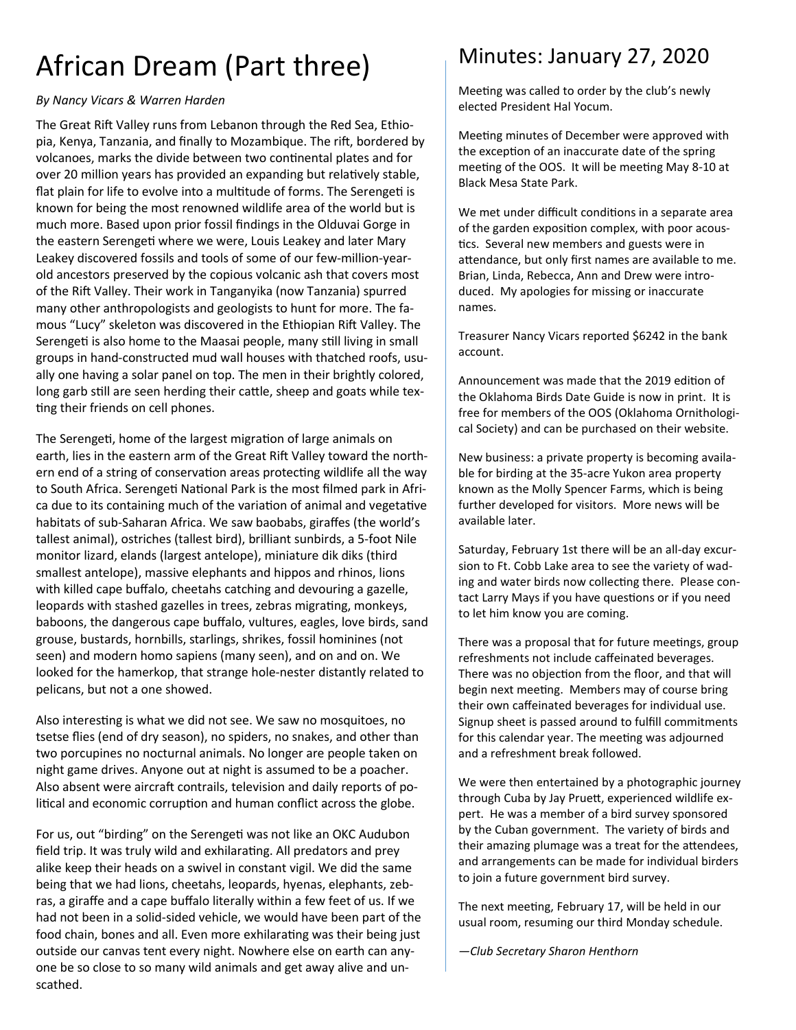# African Dream (Part three)

### *By Nancy Vicars & Warren Harden*

The Great Rift Valley runs from Lebanon through the Red Sea, Ethiopia, Kenya, Tanzania, and finally to Mozambique. The rift, bordered by volcanoes, marks the divide between two continental plates and for over 20 million years has provided an expanding but relatively stable, flat plain for life to evolve into a multitude of forms. The Serengeti is known for being the most renowned wildlife area of the world but is much more. Based upon prior fossil findings in the Olduvai Gorge in the eastern Serengeti where we were, Louis Leakey and later Mary Leakey discovered fossils and tools of some of our few-million-yearold ancestors preserved by the copious volcanic ash that covers most of the Rift Valley. Their work in Tanganyika (now Tanzania) spurred many other anthropologists and geologists to hunt for more. The famous "Lucy" skeleton was discovered in the Ethiopian Rift Valley. The Serengeti is also home to the Maasai people, many still living in small groups in hand-constructed mud wall houses with thatched roofs, usually one having a solar panel on top. The men in their brightly colored, long garb still are seen herding their cattle, sheep and goats while texting their friends on cell phones.

The Serengeti, home of the largest migration of large animals on earth, lies in the eastern arm of the Great Rift Valley toward the northern end of a string of conservation areas protecting wildlife all the way to South Africa. Serengeti National Park is the most filmed park in Africa due to its containing much of the variation of animal and vegetative habitats of sub-Saharan Africa. We saw baobabs, giraffes (the world's tallest animal), ostriches (tallest bird), brilliant sunbirds, a 5-foot Nile monitor lizard, elands (largest antelope), miniature dik diks (third smallest antelope), massive elephants and hippos and rhinos, lions with killed cape buffalo, cheetahs catching and devouring a gazelle, leopards with stashed gazelles in trees, zebras migrating, monkeys, baboons, the dangerous cape buffalo, vultures, eagles, love birds, sand grouse, bustards, hornbills, starlings, shrikes, fossil hominines (not seen) and modern homo sapiens (many seen), and on and on. We looked for the hamerkop, that strange hole-nester distantly related to pelicans, but not a one showed.

Also interesting is what we did not see. We saw no mosquitoes, no tsetse flies (end of dry season), no spiders, no snakes, and other than two porcupines no nocturnal animals. No longer are people taken on night game drives. Anyone out at night is assumed to be a poacher. Also absent were aircraft contrails, television and daily reports of political and economic corruption and human conflict across the globe.

For us, out "birding" on the Serengeti was not like an OKC Audubon field trip. It was truly wild and exhilarating. All predators and prey alike keep their heads on a swivel in constant vigil. We did the same being that we had lions, cheetahs, leopards, hyenas, elephants, zebras, a giraffe and a cape buffalo literally within a few feet of us. If we had not been in a solid-sided vehicle, we would have been part of the food chain, bones and all. Even more exhilarating was their being just outside our canvas tent every night. Nowhere else on earth can anyone be so close to so many wild animals and get away alive and unscathed.

### Minutes: January 27, 2020

Meeting was called to order by the club's newly elected President Hal Yocum.

Meeting minutes of December were approved with the exception of an inaccurate date of the spring meeting of the OOS. It will be meeting May 8-10 at Black Mesa State Park.

We met under difficult conditions in a separate area of the garden exposition complex, with poor acoustics. Several new members and guests were in attendance, but only first names are available to me. Brian, Linda, Rebecca, Ann and Drew were introduced. My apologies for missing or inaccurate names.

Treasurer Nancy Vicars reported \$6242 in the bank account.

Announcement was made that the 2019 edition of the Oklahoma Birds Date Guide is now in print. It is free for members of the OOS (Oklahoma Ornithological Society) and can be purchased on their website.

New business: a private property is becoming available for birding at the 35-acre Yukon area property known as the Molly Spencer Farms, which is being further developed for visitors. More news will be available later.

Saturday, February 1st there will be an all-day excursion to Ft. Cobb Lake area to see the variety of wading and water birds now collecting there. Please contact Larry Mays if you have questions or if you need to let him know you are coming.

There was a proposal that for future meetings, group refreshments not include caffeinated beverages. There was no objection from the floor, and that will begin next meeting. Members may of course bring their own caffeinated beverages for individual use. Signup sheet is passed around to fulfill commitments for this calendar year. The meeting was adjourned and a refreshment break followed.

We were then entertained by a photographic journey through Cuba by Jay Pruett, experienced wildlife expert. He was a member of a bird survey sponsored by the Cuban government. The variety of birds and their amazing plumage was a treat for the attendees, and arrangements can be made for individual birders to join a future government bird survey.

The next meeting, February 17, will be held in our usual room, resuming our third Monday schedule.

*—Club Secretary Sharon Henthorn*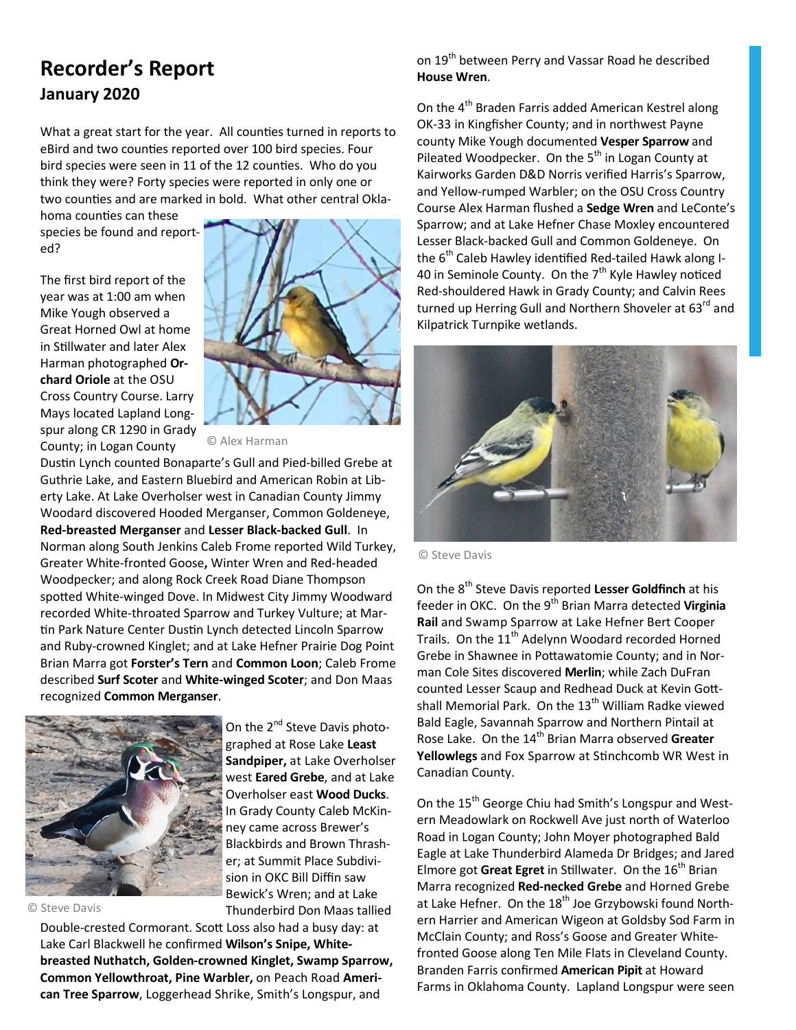### **Recorder's Report January 2020**

What a great start for the year. All counties turned in reports to eBird and two counties reported over 100 bird species. Four bird species were seen in 11 of the 12 counties. Who do you think they were? Forty species were reported in only one or two counties and are marked in bold. What other central Okla-

homa counties can these species be found and reported?

The first bird report of the year was at 1:00 am when Mike Yough observed a Great Horned Owl at home in Stillwater and later Alex Harman photographed **Orchard Oriole** at the OSU Cross Country Course. Larry Mays located Lapland Longspur along CR 1290 in Grady County; in Logan County



© Alex Harman

Dustin Lynch counted Bonaparte's Gull and Pied-billed Grebe at Guthrie Lake, and Eastern Bluebird and American Robin at Liberty Lake. At Lake Overholser west in Canadian County Jimmy Woodard discovered Hooded Merganser, Common Goldeneye, **Red-breasted Merganser** and **Lesser Black-backed Gull**. In Norman along South Jenkins Caleb Frome reported Wild Turkey, Greater White-fronted Goose**,** Winter Wren and Red-headed Woodpecker; and along Rock Creek Road Diane Thompson spotted White-winged Dove. In Midwest City Jimmy Woodward recorded White-throated Sparrow and Turkey Vulture; at Mar tin Park Nature Center Dustin Lynch detected Lincoln Sparrow and Ruby-crowned Kinglet; and at Lake Hefner Prairie Dog Point Brian Marra got **Forster's Tern** and **Common Loon**; Caleb Frome described **Surf Scoter** and **White-winged Scoter**; and Don Maas recognized **Common Merganser**.



© Steve Davis

On the 2<sup>nd</sup> Steve Davis photographed at Rose Lake **Least Sandpiper,** at Lake Overholser west **Eared Grebe**, and at Lake Overholser east **Wood Ducks**. In Grady County Caleb McKinney came across Brewer's Blackbirds and Brown Thrasher; at Summit Place Subdivision in OKC Bill Diffin saw Bewick's Wren; and at Lake Thunderbird Don Maas tallied

Double-crested Cormorant. Scott Loss also had a busy day: at Lake Carl Blackwell he confirmed **Wilson's Snipe, Whitebreasted Nuthatch, Golden-crowned Kinglet, Swamp Sparrow, Common Yellowthroat, Pine Warbler,** on Peach Road **American Tree Sparrow**, Loggerhead Shrike, Smith's Longspur, and

on 19<sup>th</sup> between Perry and Vassar Road he described **House Wren**.

On the 4<sup>th</sup> Braden Farris added American Kestrel along OK-33 in Kingfisher County; and in northwest Payne county Mike Yough documented **Vesper Sparrow** and Pileated Woodpecker. On the 5<sup>th</sup> in Logan County at Kairworks Garden D&D Norris verified Harris's Sparrow, and Yellow-rumped Warbler; on the OSU Cross Country Course Alex Harman flushed a **Sedge Wren** and LeConte's Sparrow; and at Lake Hefner Chase Moxley encountered Lesser Black-backed Gull and Common Goldeneye. On the  $6<sup>th</sup>$  Caleb Hawley identified Red-tailed Hawk along I-40 in Seminole County. On the  $7<sup>th</sup>$  Kyle Hawley noticed Red-shouldered Hawk in Grady County; and Calvin Rees turned up Herring Gull and Northern Shoveler at 63<sup>rd</sup> and Kilpatrick Turnpike wetlands.



© Steve Davis

On the 8th Steve Davis reported **Lesser Goldfinch** at his feeder in OKC. On the 9<sup>th</sup> Brian Marra detected Virginia **Rail** and Swamp Sparrow at Lake Hefner Bert Cooper Trails. On the 11<sup>th</sup> Adelynn Woodard recorded Horned Grebe in Shawnee in Pottawatomie County; and in Norman Cole Sites discovered **Merlin**; while Zach DuFran counted Lesser Scaup and Redhead Duck at Kevin Gottshall Memorial Park. On the  $13<sup>th</sup>$  William Radke viewed Bald Eagle, Savannah Sparrow and Northern Pintail at Rose Lake. On the 14<sup>th</sup> Brian Marra observed Greater **Yellowlegs** and Fox Sparrow at Stinchcomb WR West in Canadian County.

On the 15<sup>th</sup> George Chiu had Smith's Longspur and Western Meadowlark on Rockwell Ave just north of Waterloo Road in Logan County; John Moyer photographed Bald Eagle at Lake Thunderbird Alameda Dr Bridges; and Jared Elmore got Great Egret in Stillwater. On the 16<sup>th</sup> Brian Marra recognized **Red-necked Grebe** and Horned Grebe at Lake Hefner. On the  $18<sup>th</sup>$  Joe Grzybowski found Northern Harrier and American Wigeon at Goldsby Sod Farm in McClain County; and Ross's Goose and Greater Whitefronted Goose along Ten Mile Flats in Cleveland County. Branden Farris confirmed **American Pipit** at Howard Farms in Oklahoma County. Lapland Longspur were seen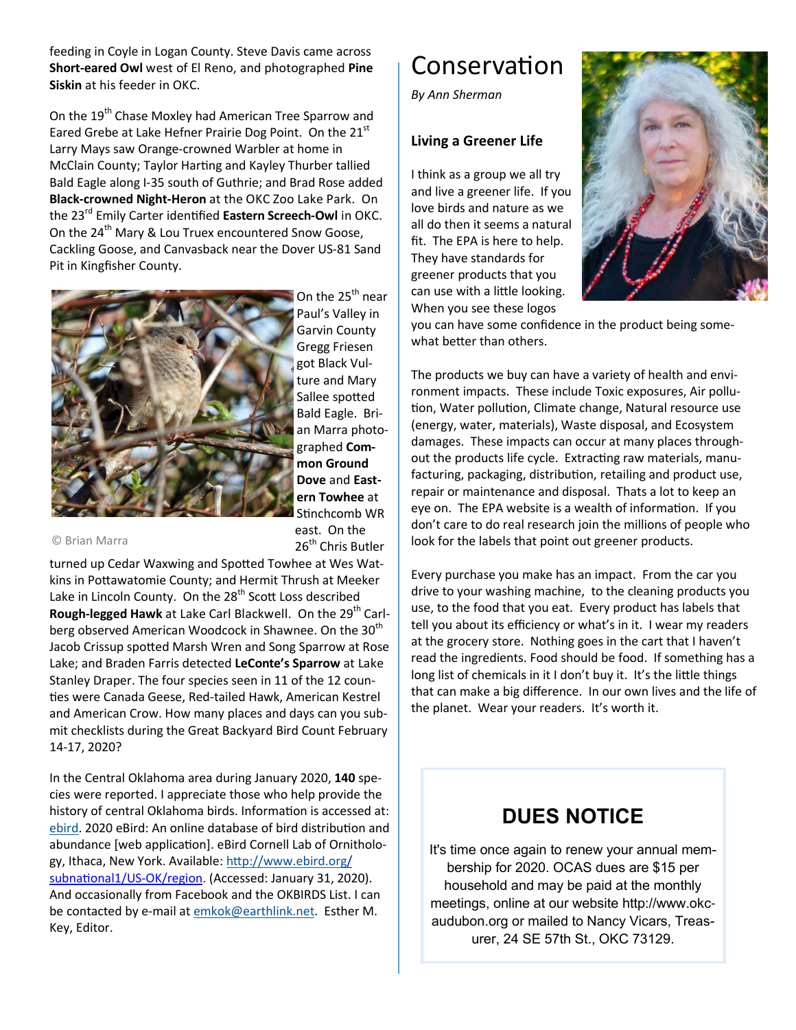feeding in Coyle in Logan County. Steve Davis came across **Short-eared Owl** west of El Reno, and photographed **Pine Siskin** at his feeder in OKC.

On the 19<sup>th</sup> Chase Moxley had American Tree Sparrow and Eared Grebe at Lake Hefner Prairie Dog Point. On the 21<sup>st</sup> Larry Mays saw Orange-crowned Warbler at home in McClain County; Taylor Harting and Kayley Thurber tallied Bald Eagle along I-35 south of Guthrie; and Brad Rose added **Black-crowned Night-Heron** at the OKC Zoo Lake Park. On the 23<sup>rd</sup> Emily Carter identified Eastern Screech-Owl in OKC. On the 24<sup>th</sup> Mary & Lou Truex encountered Snow Goose, Cackling Goose, and Canvasback near the Dover US-81 Sand Pit in Kingfisher County.



On the 25<sup>th</sup> near Paul's Valley in Garvin County Gregg Friesen got Black Vulture and Mary Sallee spotted Bald Eagle. Brian Marra photographed **Common Ground Dove** and **Eastern Towhee** at Stinchcomb WR east. On the 26<sup>th</sup> Chris Butler

© Brian Marra

turned up Cedar Waxwing and Spotted Towhee at Wes Watkins in Pottawatomie County; and Hermit Thrush at Meeker Lake in Lincoln County. On the 28<sup>th</sup> Scott Loss described **Rough-legged Hawk** at Lake Carl Blackwell. On the 29<sup>th</sup> Carlberg observed American Woodcock in Shawnee. On the 30<sup>th</sup> Jacob Crissup spotted Marsh Wren and Song Sparrow at Rose Lake; and Braden Farris detected **LeConte's Sparrow** at Lake Stanley Draper. The four species seen in 11 of the 12 coun ties were Canada Geese, Red-tailed Hawk, American Kestrel and American Crow. How many places and days can you submit checklists during the Great Backyard Bird Count February 14-17, 2020?

In the Central Oklahoma area during January 2020, **140** species were reported. I appreciate those who help provide the history of central Oklahoma birds. Information is accessed at: ebird. 2020 eBird: An online database of bird distribution and abundance [web application]. eBird Cornell Lab of Ornithology, Ithaca, New York. Available: http://www.ebird.org/ subnational1/US-OK/region. (Accessed: January 31, 2020). And occasionally from Facebook and the OKBIRDS List. I can be contacted by e-mail at emkok@earthlink.net. Esther M. Key, Editor.

## Conservation

*By Ann Sherman* 

### **Living a Greener Life**

I think as a group we all try and live a greener life. If you love birds and nature as we all do then it seems a natural fit. The EPA is here to help. They have standards for greener products that you can use with a little looking. When you see these logos



you can have some confidence in the product being somewhat better than others.

The products we buy can have a variety of health and environment impacts. These include Toxic exposures, Air pollu tion, Water pollution, Climate change, Natural resource use (energy, water, materials), Waste disposal, and Ecosystem damages. These impacts can occur at many places throughout the products life cycle. Extracting raw materials, manufacturing, packaging, distribution, retailing and product use, repair or maintenance and disposal. Thats a lot to keep an eye on. The EPA website is a wealth of information. If you don't care to do real research join the millions of people who look for the labels that point out greener products.

Every purchase you make has an impact. From the car you drive to your washing machine, to the cleaning products you use, to the food that you eat. Every product has labels that tell you about its efficiency or what's in it. I wear my readers at the grocery store. Nothing goes in the cart that I haven't read the ingredients. Food should be food. If something has a long list of chemicals in it I don't buy it. It's the little things that can make a big difference. In our own lives and the life of the planet. Wear your readers. It's worth it.

### **DUES NOTICE**

It's time once again to renew your annual membership for 2020. OCAS dues are \$15 per household and may be paid at the monthly meetings, online at our website http://www.okcaudubon.org or mailed to Nancy Vicars, Treasurer, 24 SE 57th St., OKC 73129.